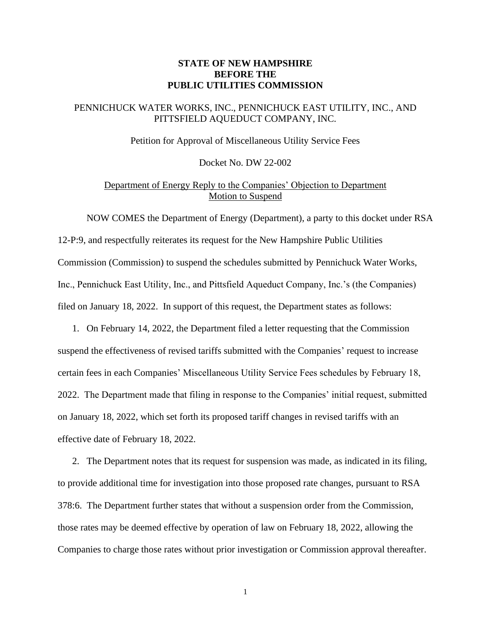### **STATE OF NEW HAMPSHIRE BEFORE THE PUBLIC UTILITIES COMMISSION**

### PENNICHUCK WATER WORKS, INC., PENNICHUCK EAST UTILITY, INC., AND PITTSFIELD AQUEDUCT COMPANY, INC.

Petition for Approval of Miscellaneous Utility Service Fees

Docket No. DW 22-002

# Department of Energy Reply to the Companies' Objection to Department Motion to Suspend

NOW COMES the Department of Energy (Department), a party to this docket under RSA 12-P:9, and respectfully reiterates its request for the New Hampshire Public Utilities Commission (Commission) to suspend the schedules submitted by Pennichuck Water Works, Inc., Pennichuck East Utility, Inc., and Pittsfield Aqueduct Company, Inc.'s (the Companies) filed on January 18, 2022. In support of this request, the Department states as follows:

1. On February 14, 2022, the Department filed a letter requesting that the Commission suspend the effectiveness of revised tariffs submitted with the Companies' request to increase certain fees in each Companies' Miscellaneous Utility Service Fees schedules by February 18, 2022. The Department made that filing in response to the Companies' initial request, submitted on January 18, 2022, which set forth its proposed tariff changes in revised tariffs with an effective date of February 18, 2022.

2. The Department notes that its request for suspension was made, as indicated in its filing, to provide additional time for investigation into those proposed rate changes, pursuant to RSA 378:6. The Department further states that without a suspension order from the Commission, those rates may be deemed effective by operation of law on February 18, 2022, allowing the Companies to charge those rates without prior investigation or Commission approval thereafter.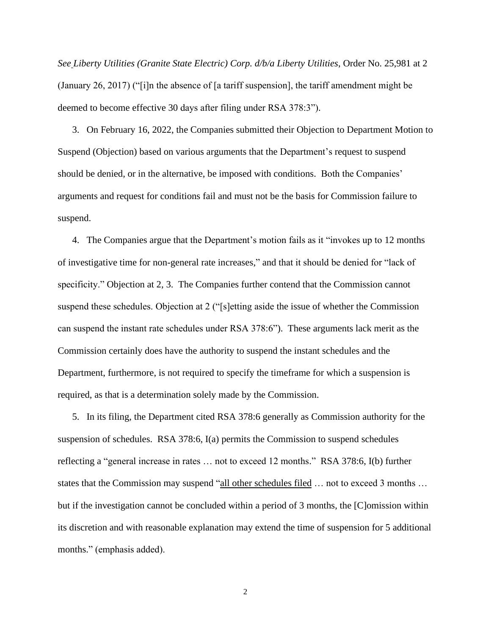*See Liberty Utilities (Granite State Electric) Corp. d/b/a Liberty Utilities*, Order No. 25,981 at 2 (January 26, 2017) ("[i]n the absence of [a tariff suspension], the tariff amendment might be deemed to become effective 30 days after filing under RSA 378:3").

3. On February 16, 2022, the Companies submitted their Objection to Department Motion to Suspend (Objection) based on various arguments that the Department's request to suspend should be denied, or in the alternative, be imposed with conditions. Both the Companies' arguments and request for conditions fail and must not be the basis for Commission failure to suspend.

4. The Companies argue that the Department's motion fails as it "invokes up to 12 months of investigative time for non-general rate increases," and that it should be denied for "lack of specificity." Objection at 2, 3. The Companies further contend that the Commission cannot suspend these schedules. Objection at 2 ("[s]etting aside the issue of whether the Commission can suspend the instant rate schedules under RSA 378:6"). These arguments lack merit as the Commission certainly does have the authority to suspend the instant schedules and the Department, furthermore, is not required to specify the timeframe for which a suspension is required, as that is a determination solely made by the Commission.

5. In its filing, the Department cited RSA 378:6 generally as Commission authority for the suspension of schedules. RSA 378:6, I(a) permits the Commission to suspend schedules reflecting a "general increase in rates … not to exceed 12 months." RSA 378:6, I(b) further states that the Commission may suspend "all other schedules filed ... not to exceed 3 months ... but if the investigation cannot be concluded within a period of 3 months, the [C]omission within its discretion and with reasonable explanation may extend the time of suspension for 5 additional months." (emphasis added).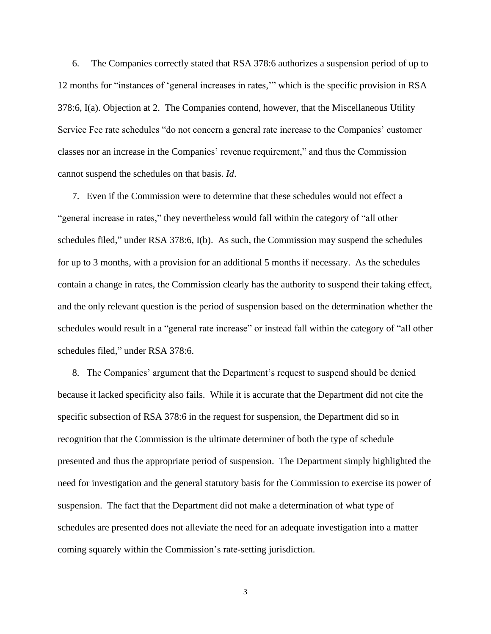6. The Companies correctly stated that RSA 378:6 authorizes a suspension period of up to 12 months for "instances of 'general increases in rates,'" which is the specific provision in RSA 378:6, I(a). Objection at 2. The Companies contend, however, that the Miscellaneous Utility Service Fee rate schedules "do not concern a general rate increase to the Companies' customer classes nor an increase in the Companies' revenue requirement," and thus the Commission cannot suspend the schedules on that basis. *Id*.

7. Even if the Commission were to determine that these schedules would not effect a "general increase in rates," they nevertheless would fall within the category of "all other schedules filed," under RSA 378:6, I(b). As such, the Commission may suspend the schedules for up to 3 months, with a provision for an additional 5 months if necessary. As the schedules contain a change in rates, the Commission clearly has the authority to suspend their taking effect, and the only relevant question is the period of suspension based on the determination whether the schedules would result in a "general rate increase" or instead fall within the category of "all other schedules filed," under RSA 378:6.

8. The Companies' argument that the Department's request to suspend should be denied because it lacked specificity also fails. While it is accurate that the Department did not cite the specific subsection of RSA 378:6 in the request for suspension, the Department did so in recognition that the Commission is the ultimate determiner of both the type of schedule presented and thus the appropriate period of suspension. The Department simply highlighted the need for investigation and the general statutory basis for the Commission to exercise its power of suspension. The fact that the Department did not make a determination of what type of schedules are presented does not alleviate the need for an adequate investigation into a matter coming squarely within the Commission's rate-setting jurisdiction.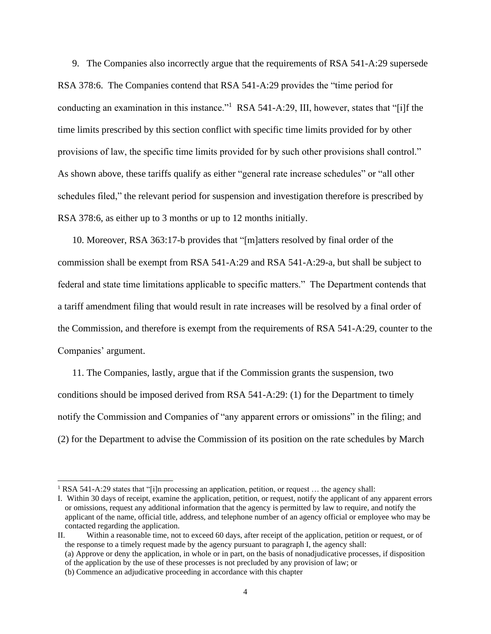9. The Companies also incorrectly argue that the requirements of RSA 541-A:29 supersede RSA 378:6. The Companies contend that RSA 541-A:29 provides the "time period for conducting an examination in this instance."<sup>1</sup> RSA 541-A:29, III, however, states that "[i]f the time limits prescribed by this section conflict with specific time limits provided for by other provisions of law, the specific time limits provided for by such other provisions shall control." As shown above, these tariffs qualify as either "general rate increase schedules" or "all other schedules filed," the relevant period for suspension and investigation therefore is prescribed by RSA 378:6, as either up to 3 months or up to 12 months initially.

10. Moreover, RSA 363:17-b provides that "[m]atters resolved by final order of the commission shall be exempt from RSA 541-A:29 and RSA 541-A:29-a, but shall be subject to federal and state time limitations applicable to specific matters." The Department contends that a tariff amendment filing that would result in rate increases will be resolved by a final order of the Commission, and therefore is exempt from the requirements of RSA 541-A:29, counter to the Companies' argument.

11. The Companies, lastly, argue that if the Commission grants the suspension, two conditions should be imposed derived from RSA 541-A:29: (1) for the Department to timely notify the Commission and Companies of "any apparent errors or omissions" in the filing; and (2) for the Department to advise the Commission of its position on the rate schedules by March

<sup>&</sup>lt;sup>1</sup> RSA 541-A:29 states that "[i]n processing an application, petition, or request ... the agency shall:

I. Within 30 days of receipt, examine the application, petition, or request, notify the applicant of any apparent errors or omissions, request any additional information that the agency is permitted by law to require, and notify the applicant of the name, official title, address, and telephone number of an agency official or employee who may be contacted regarding the application.

II. Within a reasonable time, not to exceed 60 days, after receipt of the application, petition or request, or of the response to a timely request made by the agency pursuant to paragraph I, the agency shall: (a) Approve or deny the application, in whole or in part, on the basis of nonadjudicative processes, if disposition of the application by the use of these processes is not precluded by any provision of law; or (b) Commence an adjudicative proceeding in accordance with this chapter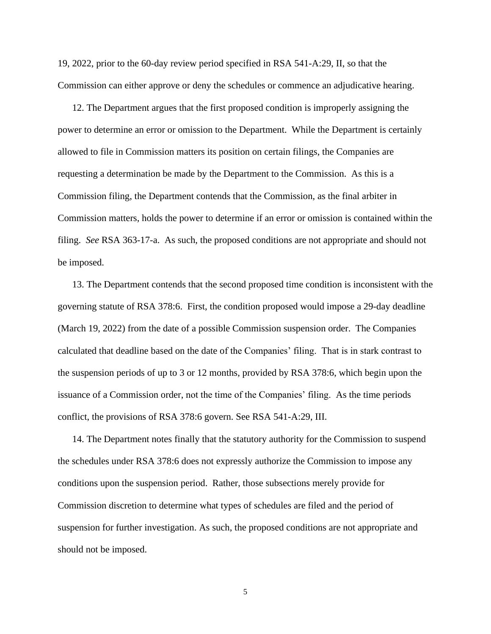19, 2022, prior to the 60-day review period specified in RSA 541-A:29, II, so that the Commission can either approve or deny the schedules or commence an adjudicative hearing.

12. The Department argues that the first proposed condition is improperly assigning the power to determine an error or omission to the Department. While the Department is certainly allowed to file in Commission matters its position on certain filings, the Companies are requesting a determination be made by the Department to the Commission. As this is a Commission filing, the Department contends that the Commission, as the final arbiter in Commission matters, holds the power to determine if an error or omission is contained within the filing. *See* RSA 363-17-a. As such, the proposed conditions are not appropriate and should not be imposed.

13. The Department contends that the second proposed time condition is inconsistent with the governing statute of RSA 378:6. First, the condition proposed would impose a 29-day deadline (March 19, 2022) from the date of a possible Commission suspension order. The Companies calculated that deadline based on the date of the Companies' filing. That is in stark contrast to the suspension periods of up to 3 or 12 months, provided by RSA 378:6, which begin upon the issuance of a Commission order, not the time of the Companies' filing. As the time periods conflict, the provisions of RSA 378:6 govern. See RSA 541-A:29, III.

14. The Department notes finally that the statutory authority for the Commission to suspend the schedules under RSA 378:6 does not expressly authorize the Commission to impose any conditions upon the suspension period. Rather, those subsections merely provide for Commission discretion to determine what types of schedules are filed and the period of suspension for further investigation. As such, the proposed conditions are not appropriate and should not be imposed.